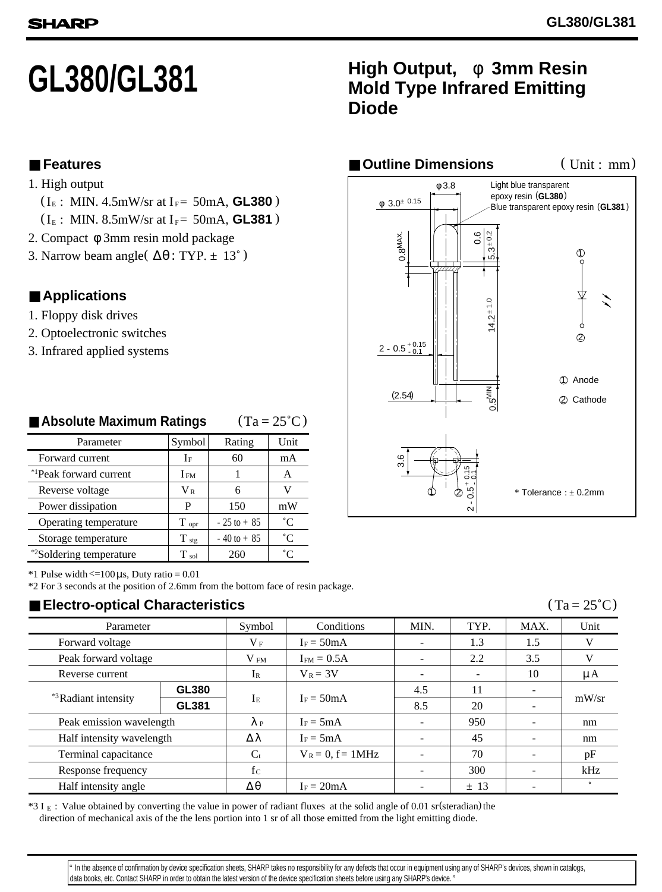# **GL380/GL381**

## **High Output,** φ **3mm Resin Diode Mold Type Infrared Emitting**

■ **Features**

- 1. High output
	-
- $(I_E: MIN. 8.5mW/sr$  at  $I_F = 50mA$ , **GL381** )
- 2. Compact φ 3mm resin mold package
- 3. Narrow beam angle ( $\Delta\theta$ : TYP. ± 13°)

## ■ **Applications**

- 1. Floppy disk drives
- 2. Optoelectronic switches
- 3. Infrared applied systems

| Parameter                           | Rating<br>Symbol |                | Unit        |  |
|-------------------------------------|------------------|----------------|-------------|--|
| Forward current                     | If               | 60             | mA          |  |
| * <sup>1</sup> Peak forward current | I fm             |                | А           |  |
| Reverse voltage                     | $V_{R}$          | 6              | V           |  |
| Power dissipation                   | P                | 150            | mW          |  |
| Operating temperature               | $T_{\rm opt}$    | $-25$ to $+85$ | $^{\circ}C$ |  |
| Storage temperature                 | $T_{\text{stg}}$ | $-40$ to $+85$ | $^{\circ}C$ |  |
| *2Soldering temperature             | $T_{sol}$        | 260            | °∩°         |  |

#### $(Ta = 25^{\circ}C)$ ■ **Absolute Maximum Ratings**

 $*1$  Pulse width  $\leq 100 \,\mu s$ , Duty ratio = 0.01

\*2 For 3 seconds at the position of 2.6mm from the bottom face of resin package.

## ■ **Electro-optical Characteristics**

| Parameter                        |       | Symbol          | Conditions             | MIN. | TYP.                     | MAX.                     | Unit    |
|----------------------------------|-------|-----------------|------------------------|------|--------------------------|--------------------------|---------|
| Forward voltage                  |       | $V_F$           | $I_F = 50mA$           |      | 1.3                      | 1.5                      | V       |
| Peak forward voltage             |       | V <sub>FM</sub> | $I_{FM} = 0.5A$        |      | 2.2                      | 3.5                      | V       |
| Reverse current                  |       | $I_{R}$         | $V_R = 3V$             |      | $\overline{\phantom{a}}$ | 10                       | μA      |
| * <sup>3</sup> Radiant intensity | GL380 | Iе              | $I_F = 50mA$           | 4.5  | 11                       |                          | mW/sr   |
|                                  | GL381 |                 |                        | 8.5  | 20                       |                          |         |
| Peak emission wavelength         |       | $\lambda$ P     | $I_F = 5mA$            |      | 950                      | $\overline{\phantom{a}}$ | nm      |
| Half intensity wavelength        |       | Δλ              | $I_F = 5mA$            |      | 45                       |                          | nm      |
| Terminal capacitance             |       | $C_{t}$         | $V_R = 0$ , $f = 1MHz$ |      | 70                       |                          | pF      |
| Response frequency               |       | $f_{C}$         |                        |      | 300                      | $\overline{\phantom{a}}$ | kHz     |
| Half intensity angle             |       | $\wedge \theta$ | $I_F = 20mA$           |      | ± 13                     |                          | $\circ$ |

 $*3$  I  $_E$  : Value obtained by converting the value in power of radiant fluxes at the solid angle of 0.01 sr (steradian) the direction of mechanical axis of the the lens portion into 1 sr of all those emitted from the light emitting diode.



 data books, etc. Contact SHARP in order to obtain the latest version of the device specification sheets before using any SHARP's device. " " In the absence of confirmation by device specification sheets, SHARP takes no responsibility for any defects that occur in equipment using any of SHARP's devices, shown in catalogs,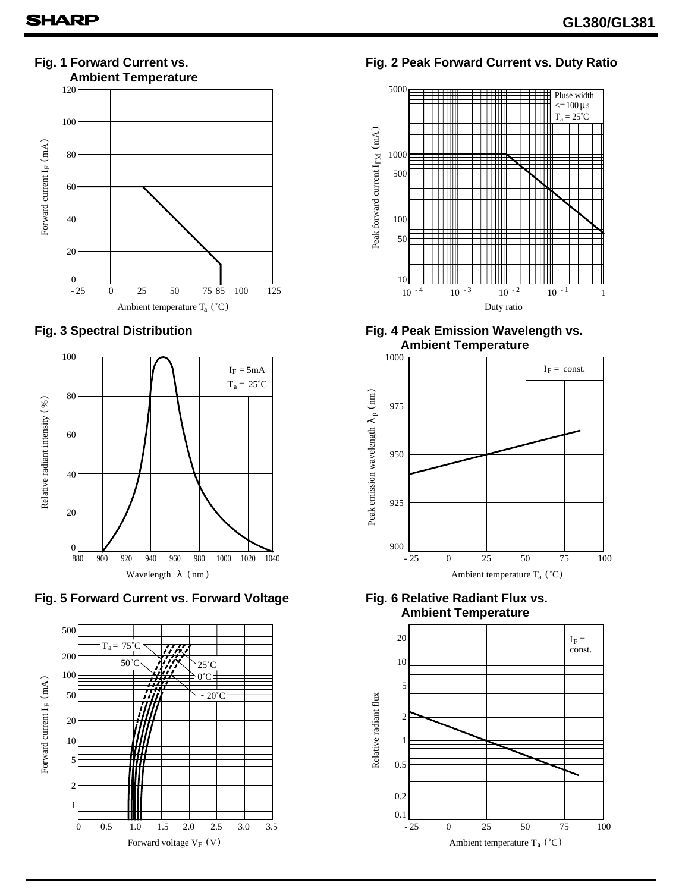

### **Fig. 3 Spectral Distribution**





## **Fig. 2 Peak Forward Current vs. Duty Ratio**



 **Ambient Temperature**



**Fig. 6 Relative Radiant Flux vs. Ambient Temperature**